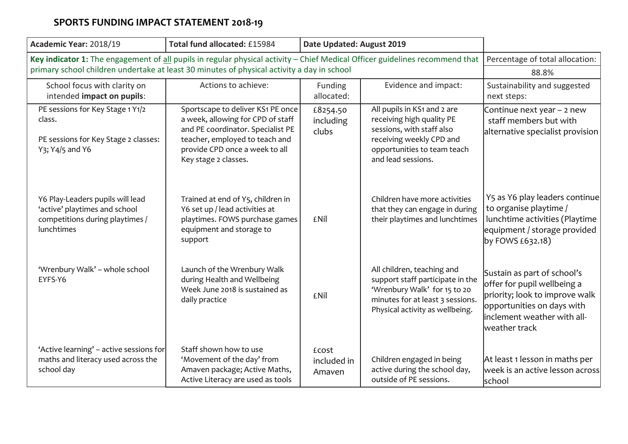| Academic Year: 2018/19                                                                                                       | Total fund allocated: £15984                                                                                                                                                                            | Date Updated: August 2019      |                                                                                                                                                                        |                                                                                                                                                                            |
|------------------------------------------------------------------------------------------------------------------------------|---------------------------------------------------------------------------------------------------------------------------------------------------------------------------------------------------------|--------------------------------|------------------------------------------------------------------------------------------------------------------------------------------------------------------------|----------------------------------------------------------------------------------------------------------------------------------------------------------------------------|
| Key indicator 1: The engagement of all pupils in regular physical activity - Chief Medical Officer guidelines recommend that | Percentage of total allocation:                                                                                                                                                                         |                                |                                                                                                                                                                        |                                                                                                                                                                            |
| primary school children undertake at least 30 minutes of physical activity a day in school                                   | 88.8%                                                                                                                                                                                                   |                                |                                                                                                                                                                        |                                                                                                                                                                            |
| School focus with clarity on<br>intended impact on pupils:                                                                   | Actions to achieve:                                                                                                                                                                                     | Funding<br>allocated:          | Evidence and impact:                                                                                                                                                   | Sustainability and suggested<br>next steps:                                                                                                                                |
| PE sessions for Key Stage 1 Y1/2<br>class.<br>PE sessions for Key Stage 2 classes:<br>Y3; Y4/5 and Y6                        | Sportscape to deliver KS1 PE once<br>a week, allowing for CPD of staff<br>and PE coordinator. Specialist PE<br>teacher, employed to teach and<br>provide CPD once a week to all<br>Key stage 2 classes. | £8254.50<br>including<br>clubs | All pupils in KS1 and 2 are<br>receiving high quality PE<br>sessions, with staff also<br>receiving weekly CPD and<br>opportunities to team teach<br>and lead sessions. | Continue next year - 2 new<br>staff members but with<br>alternative specialist provision                                                                                   |
| Y6 Play-Leaders pupils will lead<br>'active' playtimes and school<br>competitions during playtimes /<br>lunchtimes           | Trained at end of Y5, children in<br>Y6 set up / lead activities at<br>playtimes. FOWS purchase games<br>equipment and storage to<br>support                                                            | <b>£Nil</b>                    | Children have more activities<br>that they can engage in during<br>their playtimes and lunchtimes                                                                      | Y5 as Y6 play leaders continue<br>to organise playtime /<br>lunchtime activities (Playtime<br>equipment / storage provided<br>by FOWS $£632.18)$                           |
| 'Wrenbury Walk' - whole school<br>EYFS-Y6                                                                                    | Launch of the Wrenbury Walk<br>during Health and Wellbeing<br>Week June 2018 is sustained as<br>daily practice                                                                                          | £Nil                           | All children, teaching and<br>support staff participate in the<br>'Wrenbury Walk' for 15 to 20<br>minutes for at least 3 sessions.<br>Physical activity as wellbeing.  | Sustain as part of school's<br>offer for pupil wellbeing a<br>priority; look to improve walk<br>opportunities on days with<br>inclement weather with all-<br>weather track |
| 'Active learning' - active sessions for<br>maths and literacy used across the<br>school day                                  | Staff shown how to use<br>'Movement of the day' from<br>Amaven package; Active Maths,<br>Active Literacy are used as tools                                                                              | £cost<br>included in<br>Amaven | Children engaged in being<br>active during the school day,<br>outside of PE sessions.                                                                                  | At least 1 lesson in maths per<br>week is an active lesson across<br>school                                                                                                |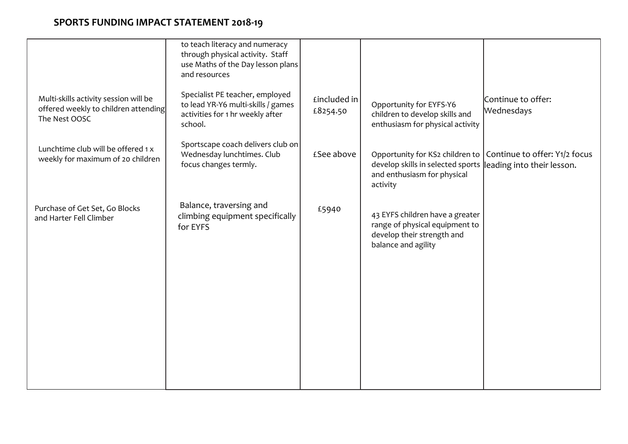|                                                                                                | to teach literacy and numeracy<br>through physical activity. Staff<br>use Maths of the Day lesson plans<br>and resources |                          |                                                                                                                        |                                                             |
|------------------------------------------------------------------------------------------------|--------------------------------------------------------------------------------------------------------------------------|--------------------------|------------------------------------------------------------------------------------------------------------------------|-------------------------------------------------------------|
| Multi-skills activity session will be<br>offered weekly to children attending<br>The Nest OOSC | Specialist PE teacher, employed<br>to lead YR-Y6 multi-skills / games<br>activities for 1 hr weekly after<br>school.     | £included in<br>£8254.50 | Opportunity for EYFS-Y6<br>children to develop skills and<br>enthusiasm for physical activity                          | Continue to offer:<br>Wednesdays                            |
| Lunchtime club will be offered 1 x<br>weekly for maximum of 20 children                        | Sportscape coach delivers club on<br>Wednesday lunchtimes. Club<br>focus changes termly.                                 | £See above               | Opportunity for KS2 children to  <br>develop skills in selected sports<br>and enthusiasm for physical<br>activity      | Continue to offer: Y1/2 focus<br>leading into their lesson. |
| Purchase of Get Set, Go Blocks<br>and Harter Fell Climber                                      | Balance, traversing and<br>climbing equipment specifically<br>for EYFS                                                   | £5940                    | 43 EYFS children have a greater<br>range of physical equipment to<br>develop their strength and<br>balance and agility |                                                             |
|                                                                                                |                                                                                                                          |                          |                                                                                                                        |                                                             |
|                                                                                                |                                                                                                                          |                          |                                                                                                                        |                                                             |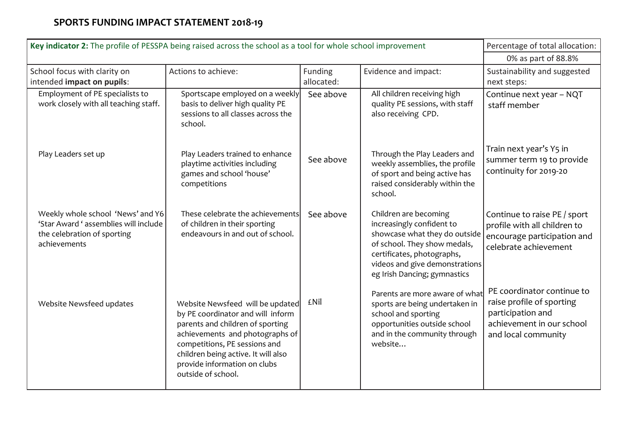| Key indicator 2: The profile of PESSPA being raised across the school as a tool for whole school improvement              | Percentage of total allocation:                                                                                                                                                                                                                                            |            |                                                                                                                                                                                                                     |                                                                                                                                  |
|---------------------------------------------------------------------------------------------------------------------------|----------------------------------------------------------------------------------------------------------------------------------------------------------------------------------------------------------------------------------------------------------------------------|------------|---------------------------------------------------------------------------------------------------------------------------------------------------------------------------------------------------------------------|----------------------------------------------------------------------------------------------------------------------------------|
|                                                                                                                           | 0% as part of 88.8%                                                                                                                                                                                                                                                        |            |                                                                                                                                                                                                                     |                                                                                                                                  |
| School focus with clarity on                                                                                              | Actions to achieve:                                                                                                                                                                                                                                                        | Funding    | Evidence and impact:                                                                                                                                                                                                | Sustainability and suggested                                                                                                     |
| intended impact on pupils:                                                                                                |                                                                                                                                                                                                                                                                            | allocated: |                                                                                                                                                                                                                     | next steps:                                                                                                                      |
| Employment of PE specialists to<br>work closely with all teaching staff.                                                  | Sportscape employed on a weekly<br>basis to deliver high quality PE<br>sessions to all classes across the<br>school.                                                                                                                                                       | See above  | All children receiving high<br>quality PE sessions, with staff<br>also receiving CPD.                                                                                                                               | Continue next year - NQT<br>staff member                                                                                         |
| Play Leaders set up                                                                                                       | Play Leaders trained to enhance<br>playtime activities including<br>games and school 'house'<br>competitions                                                                                                                                                               | See above  | Through the Play Leaders and<br>weekly assemblies, the profile<br>of sport and being active has<br>raised considerably within the<br>school.                                                                        | Train next year's Y5 in<br>summer term 19 to provide<br>continuity for 2019-20                                                   |
| Weekly whole school 'News' and Y6<br>'Star Award ' assemblies will include<br>the celebration of sporting<br>achievements | These celebrate the achievements<br>of children in their sporting<br>endeavours in and out of school.                                                                                                                                                                      | See above  | Children are becoming<br>increasingly confident to<br>showcase what they do outside<br>of school. They show medals,<br>certificates, photographs,<br>videos and give demonstrations<br>eg Irish Dancing; gymnastics | Continue to raise PE / sport<br>profile with all children to<br>encourage participation and<br>celebrate achievement             |
| Website Newsfeed updates                                                                                                  | Website Newsfeed will be updated<br>by PE coordinator and will inform<br>parents and children of sporting<br>achievements and photographs of<br>competitions, PE sessions and<br>children being active. It will also<br>provide information on clubs<br>outside of school. | £Nil       | Parents are more aware of what<br>sports are being undertaken in<br>school and sporting<br>opportunities outside school<br>and in the community through<br>website                                                  | PE coordinator continue to<br>raise profile of sporting<br>participation and<br>achievement in our school<br>and local community |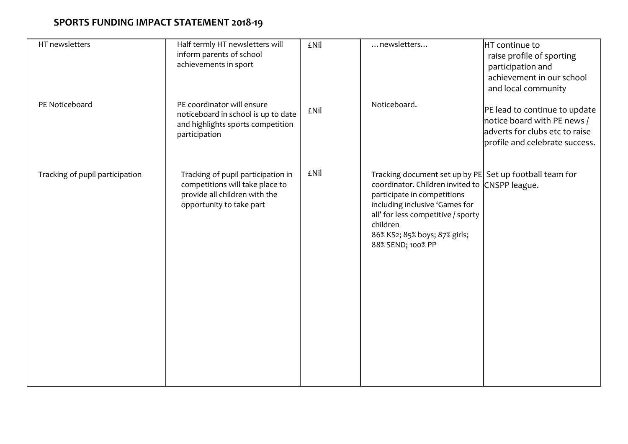| HT newsletters                  | Half termly HT newsletters will                                                                                                    | £Nil | newsletters                                                                                                                                                                                                                                                                        | HT continue to                                                                                 |
|---------------------------------|------------------------------------------------------------------------------------------------------------------------------------|------|------------------------------------------------------------------------------------------------------------------------------------------------------------------------------------------------------------------------------------------------------------------------------------|------------------------------------------------------------------------------------------------|
|                                 | inform parents of school                                                                                                           |      |                                                                                                                                                                                                                                                                                    | raise profile of sporting                                                                      |
|                                 | achievements in sport                                                                                                              |      |                                                                                                                                                                                                                                                                                    | participation and                                                                              |
|                                 |                                                                                                                                    |      |                                                                                                                                                                                                                                                                                    | achievement in our school                                                                      |
|                                 |                                                                                                                                    |      |                                                                                                                                                                                                                                                                                    | and local community                                                                            |
| PE Noticeboard                  | PE coordinator will ensure<br>noticeboard in school is up to date<br>and highlights sports competition<br>participation            | £Nil | Noticeboard.                                                                                                                                                                                                                                                                       | PE lead to continue to update<br>notice board with PE news /<br>adverts for clubs etc to raise |
|                                 |                                                                                                                                    |      |                                                                                                                                                                                                                                                                                    | profile and celebrate success.                                                                 |
|                                 |                                                                                                                                    |      |                                                                                                                                                                                                                                                                                    |                                                                                                |
| Tracking of pupil participation | Tracking of pupil participation in<br>competitions will take place to<br>provide all children with the<br>opportunity to take part | £Nil | Tracking document set up by PE Set up football team for<br>coordinator. Children invited to CNSPP league.<br>participate in competitions<br>including inclusive 'Games for<br>all' for less competitive / sporty<br>children<br>86% KS2; 85% boys; 87% girls;<br>88% SEND; 100% PP |                                                                                                |
|                                 |                                                                                                                                    |      |                                                                                                                                                                                                                                                                                    |                                                                                                |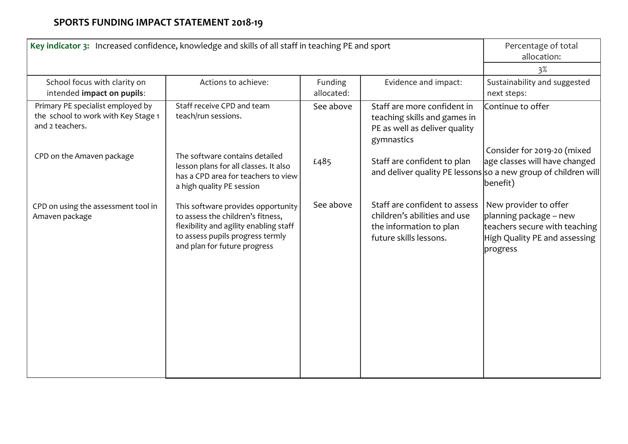| Key indicator 3: Increased confidence, knowledge and skills of all staff in teaching PE and sport | Percentage of total<br>allocation:                                                                                                                                                    |                       |                                                                                                                    |                                                                                                                               |
|---------------------------------------------------------------------------------------------------|---------------------------------------------------------------------------------------------------------------------------------------------------------------------------------------|-----------------------|--------------------------------------------------------------------------------------------------------------------|-------------------------------------------------------------------------------------------------------------------------------|
|                                                                                                   |                                                                                                                                                                                       |                       |                                                                                                                    | 3%                                                                                                                            |
| School focus with clarity on<br>intended impact on pupils:                                        | Actions to achieve:                                                                                                                                                                   | Funding<br>allocated: | Evidence and impact:                                                                                               | Sustainability and suggested<br>next steps:                                                                                   |
| Primary PE specialist employed by<br>the school to work with Key Stage 1<br>and 2 teachers.       | Staff receive CPD and team<br>teach/run sessions.                                                                                                                                     | See above             | Staff are more confident in<br>teaching skills and games in<br>PE as well as deliver quality<br>gymnastics         | Continue to offer<br>Consider for 2019-20 (mixed                                                                              |
| CPD on the Amaven package                                                                         | The software contains detailed<br>lesson plans for all classes. It also<br>has a CPD area for teachers to view<br>a high quality PE session                                           | £485                  | Staff are confident to plan                                                                                        | age classes will have changed<br>and deliver quality PE lessons so a new group of children will<br>benefit)                   |
| CPD on using the assessment tool in<br>Amaven package                                             | This software provides opportunity<br>to assess the children's fitness,<br>flexibility and agility enabling staff<br>to assess pupils progress termly<br>and plan for future progress | See above             | Staff are confident to assess<br>children's abilities and use<br>the information to plan<br>future skills lessons. | New provider to offer<br>planning package - new<br>teachers secure with teaching<br>High Quality PE and assessing<br>progress |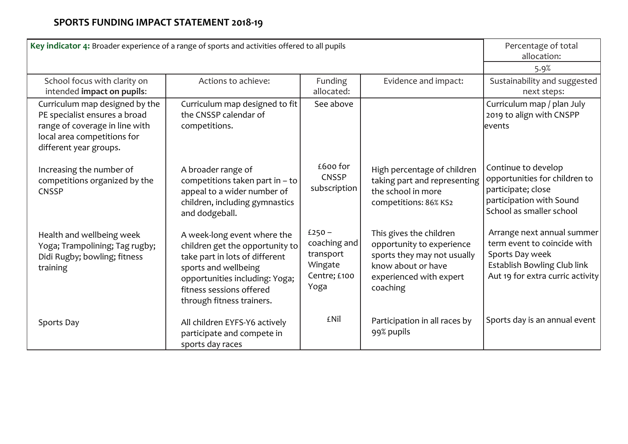| Key indicator 4: Broader experience of a range of sports and activities offered to all pupils                                                              | Percentage of total<br>allocation:                                                                                                                                                                                  |                                                                          |                                                                                                                                                  |                                                                                                                                                 |
|------------------------------------------------------------------------------------------------------------------------------------------------------------|---------------------------------------------------------------------------------------------------------------------------------------------------------------------------------------------------------------------|--------------------------------------------------------------------------|--------------------------------------------------------------------------------------------------------------------------------------------------|-------------------------------------------------------------------------------------------------------------------------------------------------|
|                                                                                                                                                            |                                                                                                                                                                                                                     |                                                                          |                                                                                                                                                  | 5.9%                                                                                                                                            |
| School focus with clarity on<br>intended impact on pupils:                                                                                                 | Actions to achieve:                                                                                                                                                                                                 | Funding<br>allocated:                                                    | Evidence and impact:                                                                                                                             | Sustainability and suggested<br>next steps:                                                                                                     |
| Curriculum map designed by the<br>PE specialist ensures a broad<br>range of coverage in line with<br>local area competitions for<br>different year groups. | Curriculum map designed to fit<br>the CNSSP calendar of<br>competitions.                                                                                                                                            | See above                                                                |                                                                                                                                                  | Curriculum map / plan July<br>2019 to align with CNSPP<br>levents                                                                               |
| Increasing the number of<br>competitions organized by the<br><b>CNSSP</b>                                                                                  | A broader range of<br>competitions taken part in $-$ to<br>appeal to a wider number of<br>children, including gymnastics<br>and dodgeball.                                                                          | £600 for<br><b>CNSSP</b><br>subscription                                 | High percentage of children<br>taking part and representing<br>the school in more<br>competitions: 86% KS2                                       | Continue to develop<br>opportunities for children to<br>participate; close<br>participation with Sound<br>School as smaller school              |
| Health and wellbeing week<br>Yoga; Trampolining; Tag rugby;<br>Didi Rugby; bowling; fitness<br>training                                                    | A week-long event where the<br>children get the opportunity to<br>take part in lots of different<br>sports and wellbeing<br>opportunities including: Yoga;<br>fitness sessions offered<br>through fitness trainers. | $£250 -$<br>coaching and<br>transport<br>Wingate<br>Centre; £100<br>Yoga | This gives the children<br>opportunity to experience<br>sports they may not usually<br>know about or have<br>experienced with expert<br>coaching | Arrange next annual summer<br>term event to coincide with<br>Sports Day week<br>Establish Bowling Club link<br>Aut 19 for extra curric activity |
| Sports Day                                                                                                                                                 | All children EYFS-Y6 actively<br>participate and compete in<br>sports day races                                                                                                                                     | <b>£Nil</b>                                                              | Participation in all races by<br>99% pupils                                                                                                      | Sports day is an annual event                                                                                                                   |